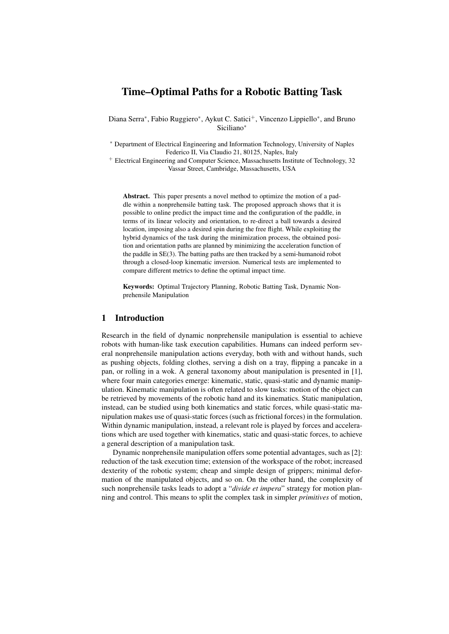Diana Serra\*, Fabio Ruggiero\*, Aykut C. Satici<sup>+</sup>, Vincenzo Lippiello\*, and Bruno Siciliano<sup>∗</sup>

<sup>∗</sup> Department of Electrical Engineering and Information Technology, University of Naples Federico II, Via Claudio 21, 80125, Naples, Italy

<sup>+</sup> Electrical Engineering and Computer Science, Massachusetts Institute of Technology, 32 Vassar Street, Cambridge, Massachusetts, USA

Abstract. This paper presents a novel method to optimize the motion of a paddle within a nonprehensile batting task. The proposed approach shows that it is possible to online predict the impact time and the configuration of the paddle, in terms of its linear velocity and orientation, to re-direct a ball towards a desired location, imposing also a desired spin during the free flight. While exploiting the hybrid dynamics of the task during the minimization process, the obtained position and orientation paths are planned by minimizing the acceleration function of the paddle in SE(3). The batting paths are then tracked by a semi-humanoid robot through a closed-loop kinematic inversion. Numerical tests are implemented to compare different metrics to define the optimal impact time.

Keywords: Optimal Trajectory Planning, Robotic Batting Task, Dynamic Nonprehensile Manipulation

## 1 Introduction

Research in the field of dynamic nonprehensile manipulation is essential to achieve robots with human-like task execution capabilities. Humans can indeed perform several nonprehensile manipulation actions everyday, both with and without hands, such as pushing objects, folding clothes, serving a dish on a tray, flipping a pancake in a pan, or rolling in a wok. A general taxonomy about manipulation is presented in [1], where four main categories emerge: kinematic, static, quasi-static and dynamic manipulation. Kinematic manipulation is often related to slow tasks: motion of the object can be retrieved by movements of the robotic hand and its kinematics. Static manipulation, instead, can be studied using both kinematics and static forces, while quasi-static manipulation makes use of quasi-static forces (such as frictional forces) in the formulation. Within dynamic manipulation, instead, a relevant role is played by forces and accelerations which are used together with kinematics, static and quasi-static forces, to achieve a general description of a manipulation task.

Dynamic nonprehensile manipulation offers some potential advantages, such as [2]: reduction of the task execution time; extension of the workspace of the robot; increased dexterity of the robotic system; cheap and simple design of grippers; minimal deformation of the manipulated objects, and so on. On the other hand, the complexity of such nonprehensile tasks leads to adopt a "*divide et impera*" strategy for motion planning and control. This means to split the complex task in simpler *primitives* of motion,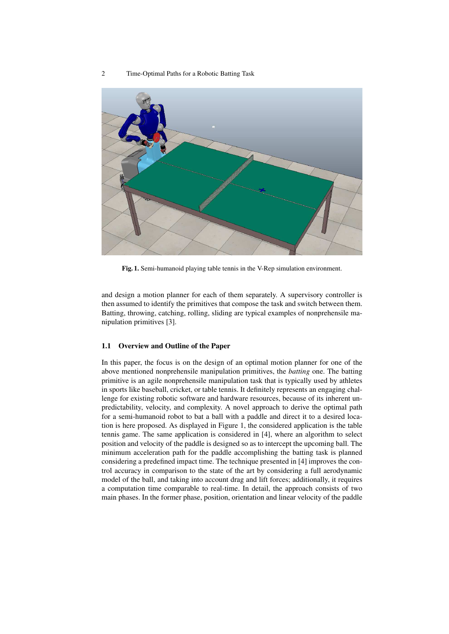

Fig. 1. Semi-humanoid playing table tennis in the V-Rep simulation environment.

and design a motion planner for each of them separately. A supervisory controller is then assumed to identify the primitives that compose the task and switch between them. Batting, throwing, catching, rolling, sliding are typical examples of nonprehensile manipulation primitives [3].

#### 1.1 Overview and Outline of the Paper

In this paper, the focus is on the design of an optimal motion planner for one of the above mentioned nonprehensile manipulation primitives, the *batting* one. The batting primitive is an agile nonprehensile manipulation task that is typically used by athletes in sports like baseball, cricket, or table tennis. It definitely represents an engaging challenge for existing robotic software and hardware resources, because of its inherent unpredictability, velocity, and complexity. A novel approach to derive the optimal path for a semi-humanoid robot to bat a ball with a paddle and direct it to a desired location is here proposed. As displayed in Figure 1, the considered application is the table tennis game. The same application is considered in [4], where an algorithm to select position and velocity of the paddle is designed so as to intercept the upcoming ball. The minimum acceleration path for the paddle accomplishing the batting task is planned considering a predefined impact time. The technique presented in [4] improves the control accuracy in comparison to the state of the art by considering a full aerodynamic model of the ball, and taking into account drag and lift forces; additionally, it requires a computation time comparable to real-time. In detail, the approach consists of two main phases. In the former phase, position, orientation and linear velocity of the paddle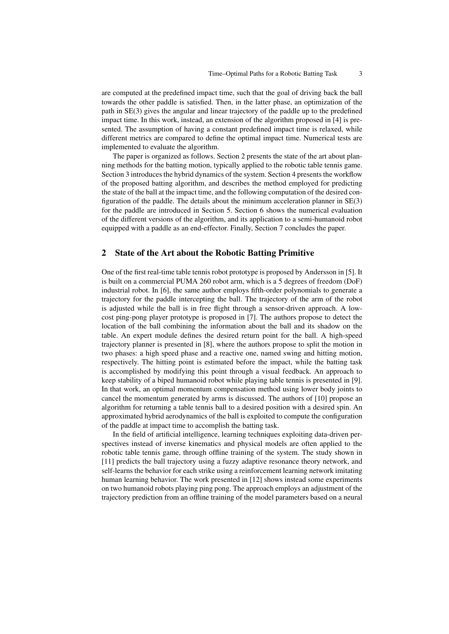are computed at the predefined impact time, such that the goal of driving back the ball towards the other paddle is satisfied. Then, in the latter phase, an optimization of the path in SE(3) gives the angular and linear trajectory of the paddle up to the predefined impact time. In this work, instead, an extension of the algorithm proposed in [4] is presented. The assumption of having a constant predefined impact time is relaxed, while different metrics are compared to define the optimal impact time. Numerical tests are implemented to evaluate the algorithm.

The paper is organized as follows. Section 2 presents the state of the art about planning methods for the batting motion, typically applied to the robotic table tennis game. Section 3 introduces the hybrid dynamics of the system. Section 4 presents the workflow of the proposed batting algorithm, and describes the method employed for predicting the state of the ball at the impact time, and the following computation of the desired configuration of the paddle. The details about the minimum acceleration planner in SE(3) for the paddle are introduced in Section 5. Section 6 shows the numerical evaluation of the different versions of the algorithm, and its application to a semi-humanoid robot equipped with a paddle as an end-effector. Finally, Section 7 concludes the paper.

## 2 State of the Art about the Robotic Batting Primitive

One of the first real-time table tennis robot prototype is proposed by Andersson in [5]. It is built on a commercial PUMA 260 robot arm, which is a 5 degrees of freedom (DoF) industrial robot. In [6], the same author employs fifth-order polynomials to generate a trajectory for the paddle intercepting the ball. The trajectory of the arm of the robot is adjusted while the ball is in free flight through a sensor-driven approach. A lowcost ping-pong player prototype is proposed in [7]. The authors propose to detect the location of the ball combining the information about the ball and its shadow on the table. An expert module defines the desired return point for the ball. A high-speed trajectory planner is presented in [8], where the authors propose to split the motion in two phases: a high speed phase and a reactive one, named swing and hitting motion, respectively. The hitting point is estimated before the impact, while the batting task is accomplished by modifying this point through a visual feedback. An approach to keep stability of a biped humanoid robot while playing table tennis is presented in [9]. In that work, an optimal momentum compensation method using lower body joints to cancel the momentum generated by arms is discussed. The authors of [10] propose an algorithm for returning a table tennis ball to a desired position with a desired spin. An approximated hybrid aerodynamics of the ball is exploited to compute the configuration of the paddle at impact time to accomplish the batting task.

In the field of artificial intelligence, learning techniques exploiting data-driven perspectives instead of inverse kinematics and physical models are often applied to the robotic table tennis game, through offline training of the system. The study shown in [11] predicts the ball trajectory using a fuzzy adaptive resonance theory network, and self-learns the behavior for each strike using a reinforcement learning network imitating human learning behavior. The work presented in [12] shows instead some experiments on two humanoid robots playing ping pong. The approach employs an adjustment of the trajectory prediction from an offline training of the model parameters based on a neural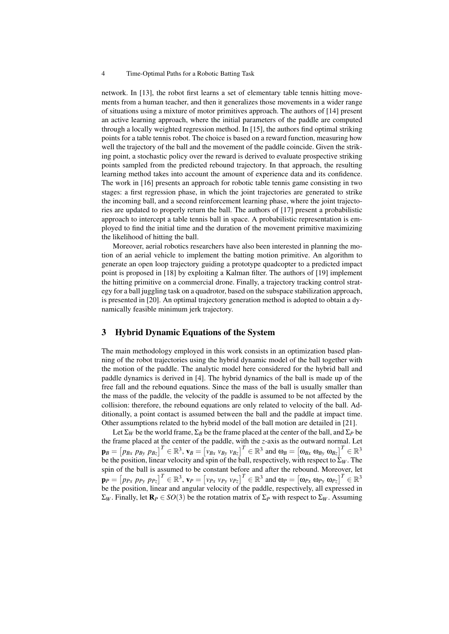network. In [13], the robot first learns a set of elementary table tennis hitting movements from a human teacher, and then it generalizes those movements in a wider range of situations using a mixture of motor primitives approach. The authors of [14] present an active learning approach, where the initial parameters of the paddle are computed through a locally weighted regression method. In [15], the authors find optimal striking points for a table tennis robot. The choice is based on a reward function, measuring how well the trajectory of the ball and the movement of the paddle coincide. Given the striking point, a stochastic policy over the reward is derived to evaluate prospective striking points sampled from the predicted rebound trajectory. In that approach, the resulting learning method takes into account the amount of experience data and its confidence. The work in [16] presents an approach for robotic table tennis game consisting in two stages: a first regression phase, in which the joint trajectories are generated to strike the incoming ball, and a second reinforcement learning phase, where the joint trajectories are updated to properly return the ball. The authors of [17] present a probabilistic approach to intercept a table tennis ball in space. A probabilistic representation is employed to find the initial time and the duration of the movement primitive maximizing the likelihood of hitting the ball.

Moreover, aerial robotics researchers have also been interested in planning the motion of an aerial vehicle to implement the batting motion primitive. An algorithm to generate an open loop trajectory guiding a prototype quadcopter to a predicted impact point is proposed in [18] by exploiting a Kalman filter. The authors of [19] implement the hitting primitive on a commercial drone. Finally, a trajectory tracking control strategy for a ball juggling task on a quadrotor, based on the subspace stabilization approach, is presented in [20]. An optimal trajectory generation method is adopted to obtain a dynamically feasible minimum jerk trajectory.

## 3 Hybrid Dynamic Equations of the System

The main methodology employed in this work consists in an optimization based planning of the robot trajectories using the hybrid dynamic model of the ball together with the motion of the paddle. The analytic model here considered for the hybrid ball and paddle dynamics is derived in [4]. The hybrid dynamics of the ball is made up of the free fall and the rebound equations. Since the mass of the ball is usually smaller than the mass of the paddle, the velocity of the paddle is assumed to be not affected by the collision: therefore, the rebound equations are only related to velocity of the ball. Additionally, a point contact is assumed between the ball and the paddle at impact time. Other assumptions related to the hybrid model of the ball motion are detailed in [21].

Let  $\Sigma_W$  be the world frame,  $\Sigma_B$  be the frame placed at the center of the ball, and  $\Sigma_P$  be the frame placed at the center of the paddle, with the *z*-axis as the outward normal. Let  $\mathbf{p}_B = \left[p_{Bx} \ p_{By} \ p_{Bz}\right]^T \in \mathbb{R}^3$ ,  $\mathbf{v}_B = \left[v_{Bx} \ v_{By} \ v_{Bz}\right]^T \in \mathbb{R}^3$  and  $\omega_B = \left[\omega_{Bx} \ \omega_{By} \ \omega_{Bz}\right]^T \in \mathbb{R}^3$ be the position, linear velocity and spin of the ball, respectively, with respect to Σ*<sup>W</sup>* . The spin of the ball is assumed to be constant before and after the rebound. Moreover, let  $\mathbf{p}_P = \left[p_{Px} \ p_{Py} \ p_{Pz}\right]^T \in \mathbb{R}^3$ ,  $\mathbf{v}_P = \left[v_{Px} \ v_{Py} \ v_{Pz}\right]^T \in \mathbb{R}^3$  and  $\omega_P = \left[\omega_{Px} \ \omega_{Py} \ \omega_{Pz}\right]^T \in \mathbb{R}^3$ be the position, linear and angular velocity of the paddle, respectively, all expressed in  $Σ<sub>W</sub>$ . Finally, let **R***P* ∈ *SO*(3) be the rotation matrix of  $Σ<sub>P</sub>$  with respect to  $Σ<sub>W</sub>$ . Assuming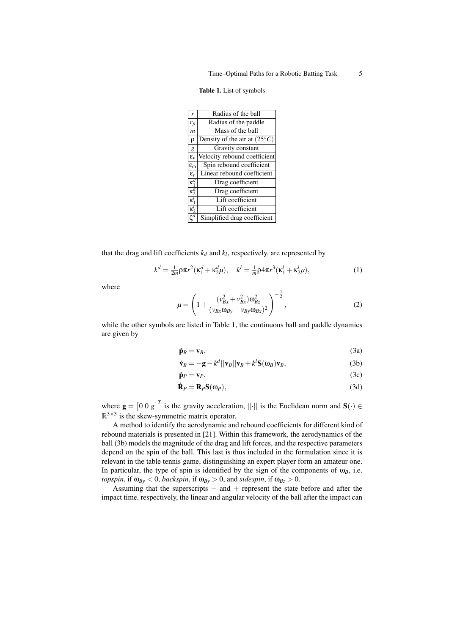#### Table 1. List of symbols

**Radius of the ball**  $r_p$  Radius of the paddle *m* Mass of the ball ρ Density of the air at (25◦*C*) *g* Gravity constant ε*v* Velocity rebound coefficient  $\frac{\varepsilon_{\omega}}{\varepsilon_r}$  Spin rebound coefficient<br> $\frac{\varepsilon_r}{\varepsilon_r}$  Linear rebound coefficien **Linear rebound coefficient** κ *d* Drag coefficient κ *d* Drag coefficient κ *l* 1 Lift coefficient κ *l* 2 Lift coefficient ζ **Simplified drag coefficient** 

that the drag and lift coefficients  $k_d$  and  $k_l$ , respectively, are represented by

$$
k^d = \frac{1}{2m}\rho\pi r^2(\kappa_1^d + \kappa_2^d\mu), \quad k^l = \frac{1}{m}\rho 4\pi r^3(\kappa_1^l + \kappa_2^l\mu),\tag{1}
$$

where

$$
\mu = \left(1 + \frac{(v_{Bx}^2 + v_{Bx}^2)\omega_{Bz}^2}{(v_{Bx}\omega_{By} - v_{By}\omega_{Bx})^2}\right)^{-\frac{1}{2}},
$$
\n(2)

while the other symbols are listed in Table 1, the continuous ball and paddle dynamics are given by

$$
\dot{\mathbf{p}}_B = \mathbf{v}_B,\tag{3a}
$$

$$
\dot{\mathbf{v}}_B = -\mathbf{g} - k^d \|\mathbf{v}_B\|\mathbf{v}_B + k^l \mathbf{S}(\mathbf{\omega}_B) \mathbf{v}_B,\tag{3b}
$$

$$
\dot{\mathbf{p}}_P = \mathbf{v}_P,\tag{3c}
$$

$$
\dot{\mathbf{R}}_P = \mathbf{R}_P \mathbf{S}(\omega_P),\tag{3d}
$$

where  $\mathbf{g} = \begin{bmatrix} 0 & 0 & g \end{bmatrix}^T$  is the gravity acceleration,  $||\cdot||$  is the Euclidean norm and  $\mathbf{S}(\cdot) \in$  $\mathbb{R}^{3\times 3}$  is the skew-symmetric matrix operator.

A method to identify the aerodynamic and rebound coefficients for different kind of rebound materials is presented in [21]. Within this framework, the aerodynamics of the ball (3b) models the magnitude of the drag and lift forces, and the respective parameters depend on the spin of the ball. This last is thus included in the formulation since it is relevant in the table tennis game, distinguishing an expert player form an amateur one. In particular, the type of spin is identified by the sign of the components of  $\omega_B$ , i.e. *topspin*, if  $\omega_{B_y} < 0$ , *backspin*, if  $\omega_{B_y} > 0$ , and *sidespin*, if  $\omega_{B_z} > 0$ .

Assuming that the superscripts − and + represent the state before and after the impact time, respectively, the linear and angular velocity of the ball after the impact can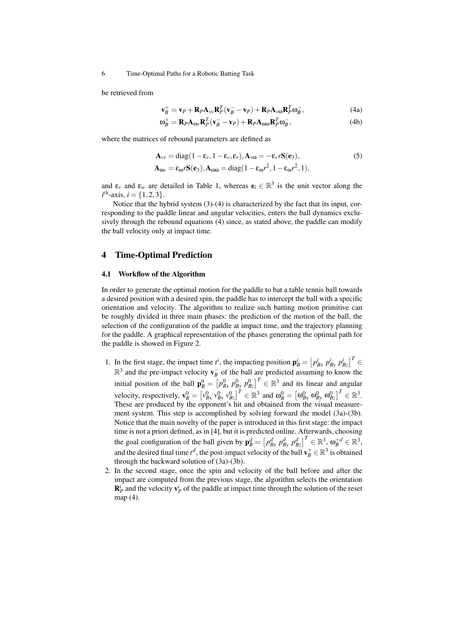be retrieved from

$$
\mathbf{v}_B^+ = \mathbf{v}_P + \mathbf{R}_P \mathbf{A}_{\nu\nu} \mathbf{R}_P^T (\mathbf{v}_B^- - \mathbf{v}_P) + \mathbf{R}_P \mathbf{A}_{\nu\omega} \mathbf{R}_P^T \mathbf{\omega}_B^-,
$$
(4a)

$$
\omega_B^+ = \mathbf{R}_P \mathbf{A}_{\omega\nu} \mathbf{R}_P^T (\mathbf{v}_B^- - \mathbf{v}_P) + \mathbf{R}_P \mathbf{A}_{\omega\omega} \mathbf{R}_P^T \omega_B^-, \tag{4b}
$$

where the matrices of rebound parameters are defined as

$$
\mathbf{A}_{\nu\nu} = \text{diag}(1 - \varepsilon_{\nu}, 1 - \varepsilon_{\nu}, \varepsilon_{r}), \mathbf{A}_{\nu\omega} = -\varepsilon_{\nu} r \mathbf{S}(\mathbf{e}_{3}), \tag{5}
$$

$$
\mathbf{A}_{\omega\nu} = \varepsilon_{\omega} r \mathbf{S}(\mathbf{e}_3), \mathbf{A}_{\omega\omega} = \text{diag}(1 - \varepsilon_{\omega} r^2, 1 - \varepsilon_{\omega} r^2, 1),
$$

and  $\varepsilon_v$  and  $\varepsilon_w$  are detailed in Table 1, whereas  $\mathbf{e}_i \in \mathbb{R}^3$  is the unit vector along the  $i^{th}$ -axis,  $i = \{1, 2, 3\}.$ 

Notice that the hybrid system (3)-(4) is characterized by the fact that its input, corresponding to the paddle linear and angular velocities, enters the ball dynamics exclusively through the rebound equations (4) since, as stated above, the paddle can modify the ball velocity only at impact time.

## 4 Time-Optimal Prediction

#### 4.1 Workflow of the Algorithm

In order to generate the optimal motion for the paddle to bat a table tennis ball towards a desired position with a desired spin, the paddle has to intercept the ball with a specific orientation and velocity. The algorithm to realize such batting motion primitive can be roughly divided in three main phases: the prediction of the motion of the ball, the selection of the configuration of the paddle at impact time, and the trajectory planning for the paddle. A graphical representation of the phases generating the optimal path for the paddle is showed in Figure 2.

- 1. In the first stage, the impact time  $t^i$ , the impacting position  $\mathbf{p}_B^i = \left[p_{Bx}^i \ p_{By}^i \ p_{Bz}^i\right]^T \in$  $\mathbb{R}^3$  and the pre-impact velocity  $\mathbf{v}_B^-$  of the ball are predicted assuming to know the initial position of the ball  $\mathbf{p}_B^0 = \left[p_{Bx}^0 \ p_{By}^0 \ p_{Bz}^0\right]^T \in \mathbb{R}^3$  and its linear and angular velocity, respectively,  $\mathbf{v}_B^0 = \left[ v_{Bx}^0 v_{By}^0 v_{Bz}^0 \right]^T \in \mathbb{R}^3$  and  $\omega_B^0 = \left[ \omega_{Bx}^0 \omega_{By}^0 \omega_{Bz}^0 \right]^T \in \mathbb{R}^3$ . These are produced by the opponent's hit and obtained from the visual measurement system. This step is accomplished by solving forward the model (3a)-(3b). Notice that the main novelty of the paper is introduced in this first stage: the impact time is not a priori defined, as in [4], but it is predicted online. Afterwards, choosing the goal configuration of the ball given by  $\mathbf{p}_{B}^{d} = \left[p_{Bx}^{d} \ p_{By}^{d} \ p_{Bz}^{d}\right]^{T} \in \mathbb{R}^{3}, \ \omega_{B}^{+d} \in \mathbb{R}^{3}$ , and the desired final time  $t^d$ , the post-impact velocity of the ball  $\mathbf{v}_B^+ \in \mathbb{R}^3$  is obtained through the backward solution of (3a)-(3b).
- 2. In the second stage, once the spin and velocity of the ball before and after the impact are computed from the previous stage, the algorithm selects the orientation  $\mathbf{R}_P^i$  and the velocity  $\mathbf{v}_P^i$  of the paddle at impact time through the solution of the reset map (4).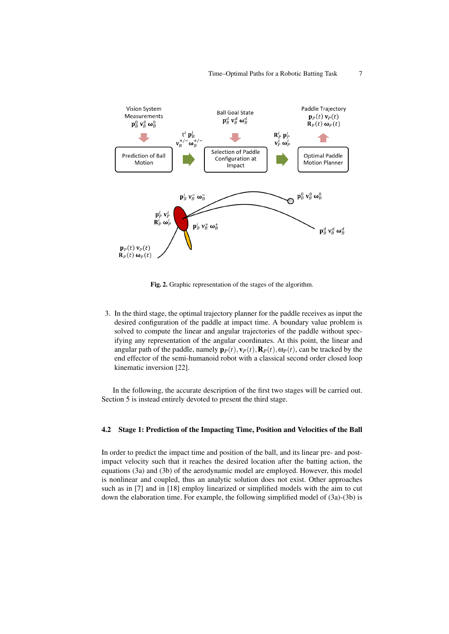

Fig. 2. Graphic representation of the stages of the algorithm.

3. In the third stage, the optimal trajectory planner for the paddle receives as input the desired configuration of the paddle at impact time. A boundary value problem is solved to compute the linear and angular trajectories of the paddle without specifying any representation of the angular coordinates. At this point, the linear and angular path of the paddle, namely  $\mathbf{p}_P(t), \mathbf{v}_P(t), \mathbf{R}_P(t), \omega_P(t)$ , can be tracked by the end effector of the semi-humanoid robot with a classical second order closed loop kinematic inversion [22].

In the following, the accurate description of the first two stages will be carried out. Section 5 is instead entirely devoted to present the third stage.

#### 4.2 Stage 1: Prediction of the Impacting Time, Position and Velocities of the Ball

In order to predict the impact time and position of the ball, and its linear pre- and postimpact velocity such that it reaches the desired location after the batting action, the equations (3a) and (3b) of the aerodynamic model are employed. However, this model is nonlinear and coupled, thus an analytic solution does not exist. Other approaches such as in [7] and in [18] employ linearized or simplified models with the aim to cut down the elaboration time. For example, the following simplified model of (3a)-(3b) is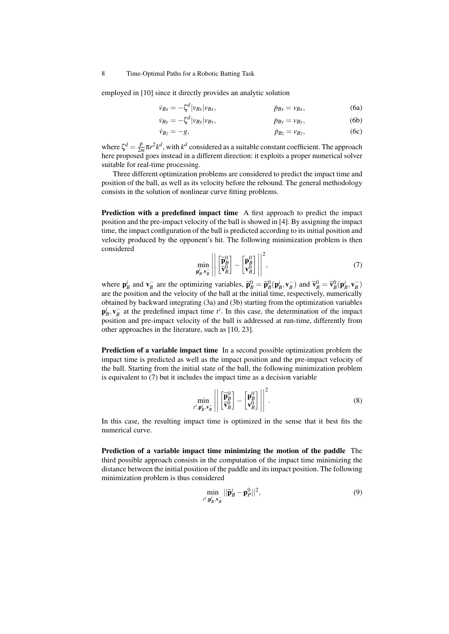employed in [10] since it directly provides an analytic solution

$$
\dot{\nu}_{Bx} = -\zeta^d |\nu_{Bx}| \nu_{Bx}, \qquad \dot{p}_{Bx} = \nu_{Bx}, \qquad (6a)
$$

$$
\dot{\nu}_{By} = -\zeta^d |\nu_{By}|\nu_{By}, \qquad \dot{p}_{By} = \nu_{By}, \qquad (6b)
$$

$$
\dot{\nu}_{Bz} = -g, \qquad \dot{p}_{Bz} = \nu_{Bz}, \qquad (6c)
$$

where  $\zeta^d = \frac{\rho}{2m} \pi r^2 k^d$ , with  $k^d$  considered as a suitable constant coefficient. The approach here proposed goes instead in a different direction: it exploits a proper numerical solver suitable for real-time processing.

Three different optimization problems are considered to predict the impact time and position of the ball, as well as its velocity before the rebound. The general methodology consists in the solution of nonlinear curve fitting problems.

Prediction with a predefined impact time A first approach to predict the impact position and the pre-impact velocity of the ball is showed in [4]. By assigning the impact time, the impact configuration of the ball is predicted according to its initial position and velocity produced by the opponent's hit. The following minimization problem is then considered

$$
\min_{\mathbf{p}_B^i, \mathbf{v}_B^-} \left| \left| \begin{bmatrix} \widetilde{\mathbf{p}}_B^0 \\ \widetilde{\mathbf{v}}_B^0 \end{bmatrix} - \begin{bmatrix} \mathbf{p}_B^0 \\ \mathbf{v}_B^0 \end{bmatrix} \right| \right|^2, \tag{7}
$$

where  $\mathbf{p}_B^i$  and  $\mathbf{v}_B^-$  are the optimizing variables,  $\widetilde{\mathbf{p}}_B^0 = \widetilde{\mathbf{p}}_B^0(\mathbf{p}_B^i, \mathbf{v}_B^-)$  and  $\widetilde{\mathbf{v}}_B^0 = \widetilde{\mathbf{v}}_B^0(\mathbf{p}_B^i, \mathbf{v}_B^-)$ are the position and the velocity of the ball at the initial time, respectively, numerically obtained by backward integrating (3a) and (3b) starting from the optimization variables  $\mathbf{p}_B^i$ ,  $\mathbf{v}_B^-$  at the predefined impact time  $t^i$ . In this case, the determination of the impact position and pre-impact velocity of the ball is addressed at run-time, differently from other approaches in the literature, such as [10, 23].

Prediction of a variable impact time In a second possible optimization problem the impact time is predicted as well as the impact position and the pre-impact velocity of the ball. Starting from the initial state of the ball, the following minimization problem is equivalent to (7) but it includes the impact time as a decision variable

$$
\min_{i, \mathbf{p}_B^i, \mathbf{v}_B^-} \left| \left| \begin{bmatrix} \widetilde{\mathbf{p}}_B^0 \\ \widetilde{\mathbf{v}}_B^0 \end{bmatrix} - \begin{bmatrix} \mathbf{p}_B^0 \\ \mathbf{v}_B^0 \end{bmatrix} \right| \right|^2.
$$
 (8)

In this case, the resulting impact time is optimized in the sense that it best fits the numerical curve.

*t*

Prediction of a variable impact time minimizing the motion of the paddle The third possible approach consists in the computation of the impact time minimizing the distance between the initial position of the paddle and its impact position. The following minimization problem is thus considered

$$
\min_{t^i, \mathbf{p}_B^i, \mathbf{v}_B^-} ||\widetilde{\mathbf{p}}_B^i - \mathbf{p}_P^0||^2, \tag{9}
$$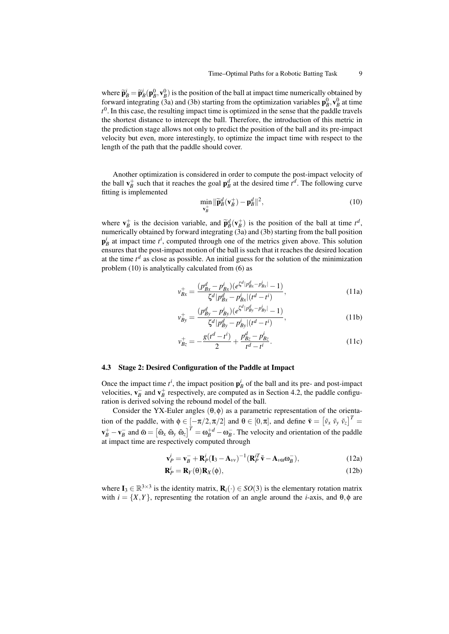where  $\widetilde{\mathbf{p}}_B^i = \widetilde{\mathbf{p}}_B^i(\mathbf{p}_B^0, \mathbf{v}_B^0)$  is the position of the ball at impact time numerically obtained by<br>forward integrating (3a) and (3b) starting from the optimization veriphles  $\mathbf{p}_0^0, \mathbf{v}_0^0$ forward integrating (3a) and (3b) starting from the optimization variables  $\mathbf{p}_B^0$ ,  $\mathbf{v}_B^0$  at time  $t<sup>0</sup>$ . In this case, the resulting impact time is optimized in the sense that the paddle travels the shortest distance to intercept the ball. Therefore, the introduction of this metric in the prediction stage allows not only to predict the position of the ball and its pre-impact velocity but even, more interestingly, to optimize the impact time with respect to the length of the path that the paddle should cover.

Another optimization is considered in order to compute the post-impact velocity of the ball  $\mathbf{v}_B^+$  such that it reaches the goal  $\mathbf{p}_B^d$  at the desired time  $t^d$ . The following curve fitting is implemented

$$
\min_{\mathbf{v}_B^+} \|\widetilde{\mathbf{p}}_B^d(\mathbf{v}_B^+) - \mathbf{p}_B^d\|^2, \tag{10}
$$

where  $\mathbf{v}_B^{\perp}$  is the decision variable, and  $\widetilde{\mathbf{p}}_B^d(\mathbf{v}_B^+)$  is the position of the ball at time  $t^d$ , numerically obtained by forward integrating (3a) and (3b) starting from the ball position  $\mathbf{p}_B^i$  at impact time  $t^i$ , computed through one of the metrics given above. This solution ensures that the post-impact motion of the ball is such that it reaches the desired location at the time  $t^d$  as close as possible. An initial guess for the solution of the minimization problem (10) is analytically calculated from (6) as

$$
v_{Bx}^{+} = \frac{(p_{Bx}^{d} - p_{Bx}^{i})(e^{\zeta^{d}|p_{Bx}^{d} - p_{Bx}^{i}|} - 1)}{\zeta^{d}|p_{Bx}^{d} - p_{Bx}^{i}|(t^{d} - t^{i})},
$$
\n(11a)

$$
v_{By}^{+} = \frac{(p_{By}^{d} - p_{By}^{i})(e^{\zeta^{d}|p_{By}^{d} - p_{By}^{i}|} - 1)}{\zeta^{d}|p_{By}^{d} - p_{By}^{i}|(t^{d} - t^{i})},
$$
\n(11b)

$$
v_{Bz}^{+} = -\frac{g(t^{d} - t^{i})}{2} + \frac{p_{Bz}^{d} - p_{Bz}^{i}}{t^{d} - t^{i}}.
$$
\n(11c)

#### 4.3 Stage 2: Desired Configuration of the Paddle at Impact

Once the impact time  $t^i$ , the impact position  $\mathbf{p}_B^i$  of the ball and its pre- and post-impact velocities,  $\mathbf{v}_B^-$  and  $\mathbf{v}_B^+$  respectively, are computed as in Section 4.2, the paddle configuration is derived solving the rebound model of the ball.

Consider the YX-Euler angles  $(\theta, \phi)$  as a parametric representation of the orientation of the paddle, with  $\phi \in [-\pi/2, \pi/2]$  and  $\theta \in [0, \pi]$ , and define  $\tilde{\mathbf{v}} = [\tilde{v}_x \ \tilde{v}_y \ \tilde{v}_z]^T =$  $\mathbf{v}_B^+ - \mathbf{v}_B^-$  and  $\tilde{\omega} = \begin{bmatrix} \tilde{\omega}_x & \tilde{\omega}_y & \tilde{\omega}_z \end{bmatrix}^T = \omega_B^{+d} - \omega_B^-$ . The velocity and orientation of the paddle at impact time are respectively computed through

$$
\mathbf{v}_P^i = \mathbf{v}_B^- + \mathbf{R}_P^i (\mathbf{I}_3 - \mathbf{A}_{\nu\nu})^{-1} (\mathbf{R}_P^{iT} \tilde{\mathbf{v}} - \mathbf{A}_{\nu\omega} \omega_B^-), \tag{12a}
$$

$$
\mathbf{R}_P^i = \mathbf{R}_Y(\theta) \mathbf{R}_X(\phi),\tag{12b}
$$

where  $I_3 \in \mathbb{R}^{3 \times 3}$  is the identity matrix,  $\mathbf{R}_i(\cdot) \in SO(3)$  is the elementary rotation matrix with  $i = \{X, Y\}$ , representing the rotation of an angle around the *i*-axis, and  $\theta$ , $\phi$  are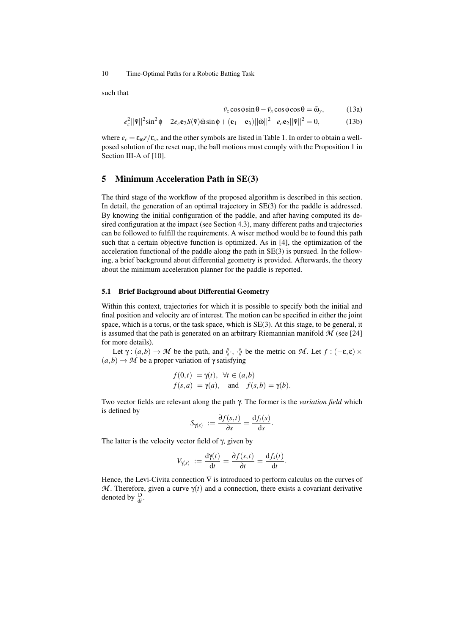such that

$$
\tilde{v}_z \cos \phi \sin \theta - \tilde{v}_x \cos \phi \cos \theta = \tilde{\omega}_y, \qquad (13a)
$$

$$
e_c^2 ||\tilde{\mathbf{v}}||^2 \sin^2 \phi - 2e_c \mathbf{e}_2 S(\tilde{\mathbf{v}}) \tilde{\omega} \sin \phi + (\mathbf{e}_1 + \mathbf{e}_3) ||\tilde{\omega}||^2 - e_c \mathbf{e}_2 ||\tilde{\mathbf{v}}||^2 = 0,
$$
 (13b)

where  $e_c = \epsilon_0 r / \epsilon_v$ , and the other symbols are listed in Table 1. In order to obtain a wellposed solution of the reset map, the ball motions must comply with the Proposition 1 in Section III-A of [10].

## 5 Minimum Acceleration Path in SE(3)

The third stage of the workflow of the proposed algorithm is described in this section. In detail, the generation of an optimal trajectory in SE(3) for the paddle is addressed. By knowing the initial configuration of the paddle, and after having computed its desired configuration at the impact (see Section 4.3), many different paths and trajectories can be followed to fulfill the requirements. A wiser method would be to found this path such that a certain objective function is optimized. As in [4], the optimization of the acceleration functional of the paddle along the path in SE(3) is pursued. In the following, a brief background about differential geometry is provided. Afterwards, the theory about the minimum acceleration planner for the paddle is reported.

## 5.1 Brief Background about Differential Geometry

Within this context, trajectories for which it is possible to specify both the initial and final position and velocity are of interest. The motion can be specified in either the joint space, which is a torus, or the task space, which is SE(3). At this stage, to be general, it is assumed that the path is generated on an arbitrary Riemannian manifold *M* (see [24] for more details).

Let  $\gamma$  :  $(a,b) \to M$  be the path, and  $\langle \langle \cdot, \cdot \rangle \rangle$  be the metric on *M*. Let  $f : (-\varepsilon, \varepsilon) \times$  $(a,b) \rightarrow M$  be a proper variation of  $\gamma$  satisfying

$$
f(0,t) = \gamma(t), \quad \forall t \in (a,b)
$$
  

$$
f(s,a) = \gamma(a), \quad \text{and} \quad f(s,b) = \gamma(b).
$$

Two vector fields are relevant along the path γ. The former is the *variation field* which is defined by

$$
S_{\gamma(s)} := \frac{\partial f(s,t)}{\partial s} = \frac{\mathrm{d}f_t(s)}{\mathrm{d}s}.
$$

The latter is the velocity vector field of  $\gamma$ , given by

$$
V_{\gamma(s)} := \frac{d\gamma(t)}{dt} = \frac{\partial f(s,t)}{\partial t} = \frac{df_s(t)}{dt}.
$$

Hence, the Levi-Civita connection  $\nabla$  is introduced to perform calculus on the curves of *M*. Therefore, given a curve  $γ(t)$  and a connection, there exists a covariant derivative denoted by  $\frac{D}{dt}$ .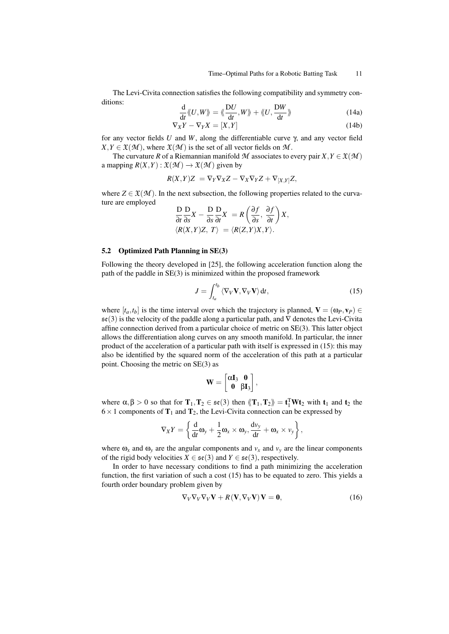The Levi-Civita connection satisfies the following compatibility and symmetry conditions: D*U*

$$
\frac{\mathrm{d}}{\mathrm{d}t}\langle U, W \rangle = \langle \frac{\mathrm{D}U}{\mathrm{d}t}, W \rangle + \langle \langle U, \frac{\mathrm{D}W}{\mathrm{d}t} \rangle \rangle \tag{14a}
$$

$$
\nabla_X Y - \nabla_Y X = [X, Y] \tag{14b}
$$

for any vector fields *U* and *W*, along the differentiable curve γ, and any vector field  $X, Y \in \mathfrak{X}(\mathcal{M})$ , where  $\mathfrak{X}(\mathcal{M})$  is the set of all vector fields on  $\mathcal{M}$ .

The curvature *R* of a Riemannian manifold *M* associates to every pair  $X, Y \in \mathcal{X}(\mathcal{M})$ a mapping  $R(X, Y) : \mathfrak{X}(\mathcal{M}) \to \mathfrak{X}(\mathcal{M})$  given by

$$
R(X,Y)Z = \nabla_Y \nabla_X Z - \nabla_X \nabla_Y Z + \nabla_{[X,Y]} Z,
$$

where  $Z \in \mathfrak{X}(\mathcal{M})$ . In the next subsection, the following properties related to the curvature are employed

$$
\frac{D}{\partial t}\frac{D}{\partial s}X - \frac{D}{\partial s}\frac{D}{\partial t}X = R\left(\frac{\partial f}{\partial s}, \frac{\partial f}{\partial t}\right)X, \langle R(X,Y)Z, T \rangle = \langle R(Z,Y)X, Y \rangle.
$$

## 5.2 Optimized Path Planning in SE(3)

Following the theory developed in [25], the following acceleration function along the path of the paddle in SE(3) is minimized within the proposed framework

$$
J = \int_{t_a}^{t_b} \langle \nabla_V \mathbf{V}, \nabla_V \mathbf{V} \rangle \, \mathrm{d}t,\tag{15}
$$

where  $[t_a, t_b]$  is the time interval over which the trajectory is planned,  $V = (\omega_P, v_P) \in$  $\mathfrak{se}(3)$  is the velocity of the paddle along a particular path, and  $\nabla$  denotes the Levi-Civita affine connection derived from a particular choice of metric on SE(3). This latter object allows the differentiation along curves on any smooth manifold. In particular, the inner product of the acceleration of a particular path with itself is expressed in (15): this may also be identified by the squared norm of the acceleration of this path at a particular point. Choosing the metric on SE(3) as

$$
\mathbf{W} = \begin{bmatrix} \alpha \mathbf{I}_3 & \mathbf{0} \\ \mathbf{0} & \beta \mathbf{I}_3 \end{bmatrix},
$$

where  $\alpha, \beta > 0$  so that for  $T_1, T_2 \in \mathfrak{se}(3)$  then  $\langle T_1, T_2 \rangle = \mathbf{t}_1^T \mathbf{W} \mathbf{t}_2$  with  $\mathbf{t}_1$  and  $\mathbf{t}_2$  the  $6 \times 1$  components of  $T_1$  and  $T_2$ , the Levi-Civita connection can be expressed by

$$
\nabla_X Y = \left\{ \frac{\mathrm{d}}{\mathrm{d}t} \omega_y + \frac{1}{2} \omega_x \times \omega_y, \frac{\mathrm{d}v_y}{\mathrm{d}t} + \omega_x \times \nu_y \right\},\,
$$

where  $\omega_x$  and  $\omega_y$  are the angular components and  $v_x$  and  $v_y$  are the linear components of the rigid body velocities  $X \in \mathfrak{se}(3)$  and  $Y \in \mathfrak{se}(3)$ , respectively.

In order to have necessary conditions to find a path minimizing the acceleration function, the first variation of such a cost (15) has to be equated to zero. This yields a fourth order boundary problem given by

$$
\nabla_V \nabla_V \nabla_V \mathbf{V} + R(\mathbf{V}, \nabla_V \mathbf{V}) \mathbf{V} = \mathbf{0},\tag{16}
$$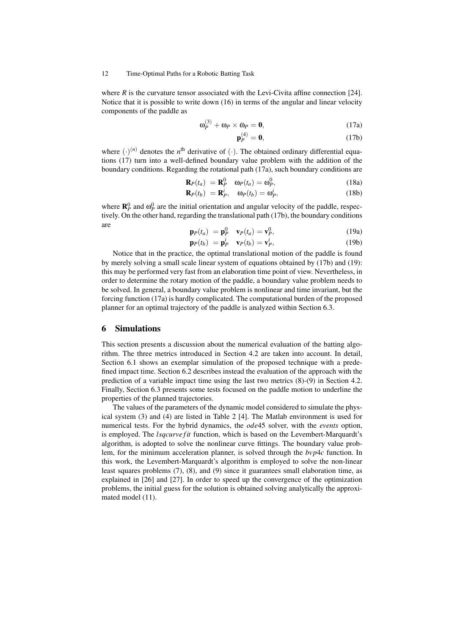where  $R$  is the curvature tensor associated with the Levi-Civita affine connection [24]. Notice that it is possible to write down (16) in terms of the angular and linear velocity components of the paddle as

$$
\omega_P^{(3)} + \omega_P \times \ddot{\omega}_P = \mathbf{0},\tag{17a}
$$

$$
\mathbf{p}_P^{(4)} = \mathbf{0},\tag{17b}
$$

where  $(\cdot)^{(n)}$  denotes the *n*<sup>th</sup> derivative of  $(\cdot)$ . The obtained ordinary differential equations (17) turn into a well-defined boundary value problem with the addition of the boundary conditions. Regarding the rotational path (17a), such boundary conditions are

$$
\mathbf{R}_P(t_a) = \mathbf{R}_P^0 \quad \omega_P(t_a) = \omega_P^0, \tag{18a}
$$

$$
\mathbf{R}_P(t_b) = \mathbf{R}_P^i, \quad \omega_P(t_b) = \omega_P^i,
$$
 (18b)

where  $\mathbf{R}_P^0$  and  $\omega_P^0$  are the initial orientation and angular velocity of the paddle, respectively. On the other hand, regarding the translational path (17b), the boundary conditions are

$$
\mathbf{p}_P(t_a) = \mathbf{p}_P^0 \quad \mathbf{v}_P(t_a) = \mathbf{v}_P^0,\tag{19a}
$$

$$
\mathbf{p}_P(t_b) = \mathbf{p}_P^i \quad \mathbf{v}_P(t_b) = \mathbf{v}_P^i,\tag{19b}
$$

Notice that in the practice, the optimal translational motion of the paddle is found by merely solving a small scale linear system of equations obtained by (17b) and (19): this may be performed very fast from an elaboration time point of view. Nevertheless, in order to determine the rotary motion of the paddle, a boundary value problem needs to be solved. In general, a boundary value problem is nonlinear and time invariant, but the forcing function (17a) is hardly complicated. The computational burden of the proposed planner for an optimal trajectory of the paddle is analyzed within Section 6.3.

## 6 Simulations

This section presents a discussion about the numerical evaluation of the batting algorithm. The three metrics introduced in Section 4.2 are taken into account. In detail, Section 6.1 shows an exemplar simulation of the proposed technique with a predefined impact time. Section 6.2 describes instead the evaluation of the approach with the prediction of a variable impact time using the last two metrics (8)-(9) in Section 4.2. Finally, Section 6.3 presents some tests focused on the paddle motion to underline the properties of the planned trajectories.

The values of the parameters of the dynamic model considered to simulate the physical system (3) and (4) are listed in Table 2 [4]. The Matlab environment is used for numerical tests. For the hybrid dynamics, the *ode*45 solver, with the *events* option, is employed. The *lsqcurve fit* function, which is based on the Levembert-Marquardt's algorithm, is adopted to solve the nonlinear curve fittings. The boundary value problem, for the minimum acceleration planner, is solved through the *bvp*4*c* function. In this work, the Levembert-Marquardt's algorithm is employed to solve the non-linear least squares problems (7), (8), and (9) since it guarantees small elaboration time, as explained in [26] and [27]. In order to speed up the convergence of the optimization problems, the initial guess for the solution is obtained solving analytically the approximated model (11).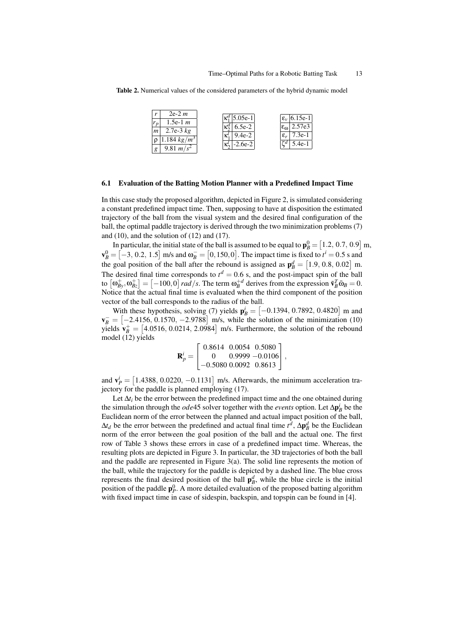*r* 2e-2 *m*  $\frac{1.5e-1}{m}$ *m* 2.7e-3 *kg* ρ 1.184 *kg*/*m* 3  $g \mid 9.81 \; m/s^2$ κ *d* 1 5.05e-1 κ *d* 2  $6.5e-2$ κ *l* 1  $9.4e-2$ κ *l* 2 -2.6e-2 ε*v* 6.15e-1 2.57e3 ε*r* 7.3e-1 ζ  $\sqrt{5.4e-1}$ 

Table 2. Numerical values of the considered parameters of the hybrid dynamic model

#### 6.1 Evaluation of the Batting Motion Planner with a Predefined Impact Time

In this case study the proposed algorithm, depicted in Figure 2, is simulated considering a constant predefined impact time. Then, supposing to have at disposition the estimated trajectory of the ball from the visual system and the desired final configuration of the ball, the optimal paddle trajectory is derived through the two minimization problems (7) and  $(10)$ , and the solution of  $(12)$  and  $(17)$ .

In particular, the initial state of the ball is assumed to be equal to  $\mathbf{p}_{B}^{0} = [1.2, 0.7, 0.9]$  m,  $\mathbf{v}_B^0 = [-3, 0.2, 1.5]$  m/s and  $\omega_B^- = [0, 150, 0]$ . The impact time is fixed to  $t^i = 0.5$  s and the goal position of the ball after the rebound is assigned as  $\mathbf{p}_{B}^{d} = [1.9, 0.8, 0.02]$  m. The desired final time corresponds to  $t^d = 0.6$  s, and the post-impact spin of the ball to  $\left[\omega_{By}^+, \omega_{Bz}^+\right] = \left[-100, 0\right] \frac{rad}{s}$ . The term  $\omega_B^{+d}$  derives from the expression  $\tilde{\mathbf{v}}_B^T \tilde{\mathbf{w}}_B = 0$ . Notice that the actual final time is evaluated when the third component of the position vector of the ball corresponds to the radius of the ball.

With these hypothesis, solving (7) yields  $\mathbf{p}_B^i = [-0.1394, 0.7892, 0.4820]$  m and  $\mathbf{v}_B^- = [-2.4156, 0.1570, -2.9788]$  m/s, while the solution of the minimization (10) yields  $\mathbf{v}_B^+ = \begin{bmatrix} 4.0516, 0.0214, 2.0984 \end{bmatrix}$  m/s. Furthermore, the solution of the rebound model (12) yields

$$
\mathbf{R}_p^i = \begin{bmatrix} 0.8614 & 0.0054 & 0.5080 \\ 0 & 0.9999 & -0.0106 \\ -0.5080 & 0.0092 & 0.8613 \end{bmatrix},
$$

and  $\mathbf{v}_P^i = [1.4388, 0.0220, -0.1131]$  m/s. Afterwards, the minimum acceleration trajectory for the paddle is planned employing (17).

Let  $\Delta t_i$  be the error between the predefined impact time and the one obtained during the simulation through the *ode*45 solver together with the *events* option. Let  $\Delta \mathbf{p}_B^i$  be the Euclidean norm of the error between the planned and actual impact position of the ball,  $\Delta t_d$  be the error between the predefined and actual final time  $t^d$ ,  $\Delta \mathbf{p}_B^d$  be the Euclidean norm of the error between the goal position of the ball and the actual one. The first row of Table 3 shows these errors in case of a predefined impact time. Whereas, the resulting plots are depicted in Figure 3. In particular, the 3D trajectories of both the ball and the paddle are represented in Figure 3(a). The solid line represents the motion of the ball, while the trajectory for the paddle is depicted by a dashed line. The blue cross represents the final desired position of the ball  $p_B^d$ , while the blue circle is the initial position of the paddle  $p_P^0$ . A more detailed evaluation of the proposed batting algorithm with fixed impact time in case of sidespin, backspin, and topspin can be found in [4].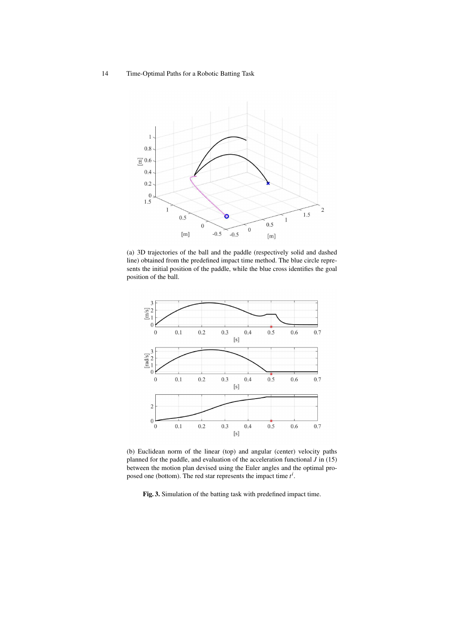

(a) 3D trajectories of the ball and the paddle (respectively solid and dashed line) obtained from the predefined impact time method. The blue circle represents the initial position of the paddle, while the blue cross identifies the goal position of the ball.



(b) Euclidean norm of the linear (top) and angular (center) velocity paths planned for the paddle, and evaluation of the acceleration functional *J* in (15) between the motion plan devised using the Euler angles and the optimal proposed one (bottom). The red star represents the impact time  $t^i$ .

Fig. 3. Simulation of the batting task with predefined impact time.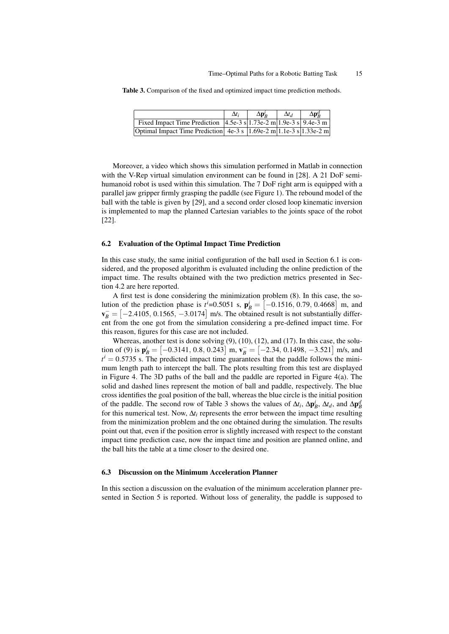|                                                                                                | $\Delta t_i$ | $\Delta p_R^l$   $\Delta t_d$ | $\Delta p_R^d$ |
|------------------------------------------------------------------------------------------------|--------------|-------------------------------|----------------|
| Fixed Impact Time Prediction $ 4.5e-3 s 1.73e-2 m 1.9e-3 s 9.4e-3 m$                           |              |                               |                |
| Optimal Impact Time Prediction  4e-3 s $ 1.69e-2 \text{ m} 1.1e-3 \text{ s} 1.33e-2 \text{ m}$ |              |                               |                |

Table 3. Comparison of the fixed and optimized impact time prediction methods.

Moreover, a video which shows this simulation performed in Matlab in connection with the V-Rep virtual simulation environment can be found in [28]. A 21 DoF semihumanoid robot is used within this simulation. The 7 DoF right arm is equipped with a parallel jaw gripper firmly grasping the paddle (see Figure 1). The rebound model of the ball with the table is given by [29], and a second order closed loop kinematic inversion is implemented to map the planned Cartesian variables to the joints space of the robot [22].

#### 6.2 Evaluation of the Optimal Impact Time Prediction

In this case study, the same initial configuration of the ball used in Section 6.1 is considered, and the proposed algorithm is evaluated including the online prediction of the impact time. The results obtained with the two prediction metrics presented in Section 4.2 are here reported.

A first test is done considering the minimization problem (8). In this case, the solution of the prediction phase is  $t^i$ =0.5051 s,  $\mathbf{p}_B^i = \begin{bmatrix} -0.1516, 0.79, 0.4668 \end{bmatrix}$  m, and  $\mathbf{v}_B^- = [-2.4105, 0.1565, -3.0174]$  m/s. The obtained result is not substantially different from the one got from the simulation considering a pre-defined impact time. For this reason, figures for this case are not included.

Whereas, another test is done solving (9), (10), (12), and (17). In this case, the solution of (9) is  $\mathbf{p}_B^i = \begin{bmatrix} -0.3141, 0.8, 0.243 \end{bmatrix}$  m,  $\mathbf{v}_B^- = \begin{bmatrix} -2.34, 0.1498, -3.521 \end{bmatrix}$  m/s, and  $t^i = 0.5735$  s. The predicted impact time guarantees that the paddle follows the minimum length path to intercept the ball. The plots resulting from this test are displayed in Figure 4. The 3D paths of the ball and the paddle are reported in Figure 4(a). The solid and dashed lines represent the motion of ball and paddle, respectively. The blue cross identifies the goal position of the ball, whereas the blue circle is the initial position of the paddle. The second row of Table 3 shows the values of  $\Delta t_i$ ,  $\Delta \mathbf{p}_B^i$ ,  $\Delta t_d$ , and  $\Delta \mathbf{p}_B^d$ for this numerical test. Now,  $\Delta t_i$  represents the error between the impact time resulting from the minimization problem and the one obtained during the simulation. The results point out that, even if the position error is slightly increased with respect to the constant impact time prediction case, now the impact time and position are planned online, and the ball hits the table at a time closer to the desired one.

#### 6.3 Discussion on the Minimum Acceleration Planner

In this section a discussion on the evaluation of the minimum acceleration planner presented in Section 5 is reported. Without loss of generality, the paddle is supposed to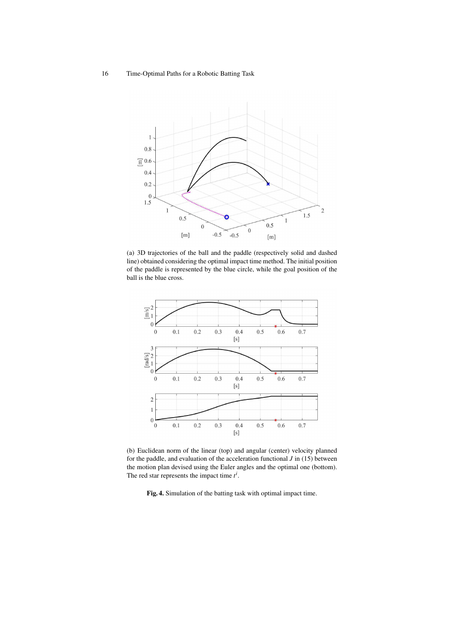

(a) 3D trajectories of the ball and the paddle (respectively solid and dashed line) obtained considering the optimal impact time method. The initial position of the paddle is represented by the blue circle, while the goal position of the ball is the blue cross.



(b) Euclidean norm of the linear (top) and angular (center) velocity planned for the paddle, and evaluation of the acceleration functional *J* in (15) between the motion plan devised using the Euler angles and the optimal one (bottom). The red star represents the impact time  $t^i$ .

Fig. 4. Simulation of the batting task with optimal impact time.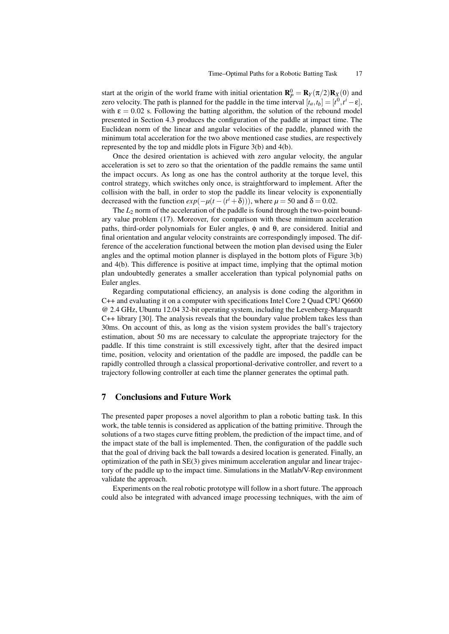start at the origin of the world frame with initial orientation  $\mathbf{R}_P^0 = \mathbf{R}_Y(\pi/2)\mathbf{R}_X(0)$  and zero velocity. The path is planned for the paddle in the time interval  $[t_a, t_b] = [t^0, t^i - \varepsilon]$ , with  $\epsilon = 0.02$  s. Following the batting algorithm, the solution of the rebound model presented in Section 4.3 produces the configuration of the paddle at impact time. The Euclidean norm of the linear and angular velocities of the paddle, planned with the minimum total acceleration for the two above mentioned case studies, are respectively represented by the top and middle plots in Figure 3(b) and 4(b).

Once the desired orientation is achieved with zero angular velocity, the angular acceleration is set to zero so that the orientation of the paddle remains the same until the impact occurs. As long as one has the control authority at the torque level, this control strategy, which switches only once, is straightforward to implement. After the collision with the ball, in order to stop the paddle its linear velocity is exponentially decreased with the function  $exp(-\mu(t - (t^i + \delta)))$ , where  $\mu = 50$  and  $\delta = 0.02$ .

The  $L_2$  norm of the acceleration of the paddle is found through the two-point boundary value problem (17). Moreover, for comparison with these minimum acceleration paths, third-order polynomials for Euler angles,  $\phi$  and  $\theta$ , are considered. Initial and final orientation and angular velocity constraints are correspondingly imposed. The difference of the acceleration functional between the motion plan devised using the Euler angles and the optimal motion planner is displayed in the bottom plots of Figure 3(b) and 4(b). This difference is positive at impact time, implying that the optimal motion plan undoubtedly generates a smaller acceleration than typical polynomial paths on Euler angles.

Regarding computational efficiency, an analysis is done coding the algorithm in C++ and evaluating it on a computer with specifications Intel Core 2 Quad CPU Q6600 @ 2.4 GHz, Ubuntu 12.04 32-bit operating system, including the Levenberg-Marquardt C++ library [30]. The analysis reveals that the boundary value problem takes less than 30ms. On account of this, as long as the vision system provides the ball's trajectory estimation, about 50 ms are necessary to calculate the appropriate trajectory for the paddle. If this time constraint is still excessively tight, after that the desired impact time, position, velocity and orientation of the paddle are imposed, the paddle can be rapidly controlled through a classical proportional-derivative controller, and revert to a trajectory following controller at each time the planner generates the optimal path.

## 7 Conclusions and Future Work

The presented paper proposes a novel algorithm to plan a robotic batting task. In this work, the table tennis is considered as application of the batting primitive. Through the solutions of a two stages curve fitting problem, the prediction of the impact time, and of the impact state of the ball is implemented. Then, the configuration of the paddle such that the goal of driving back the ball towards a desired location is generated. Finally, an optimization of the path in SE(3) gives minimum acceleration angular and linear trajectory of the paddle up to the impact time. Simulations in the Matlab/V-Rep environment validate the approach.

Experiments on the real robotic prototype will follow in a short future. The approach could also be integrated with advanced image processing techniques, with the aim of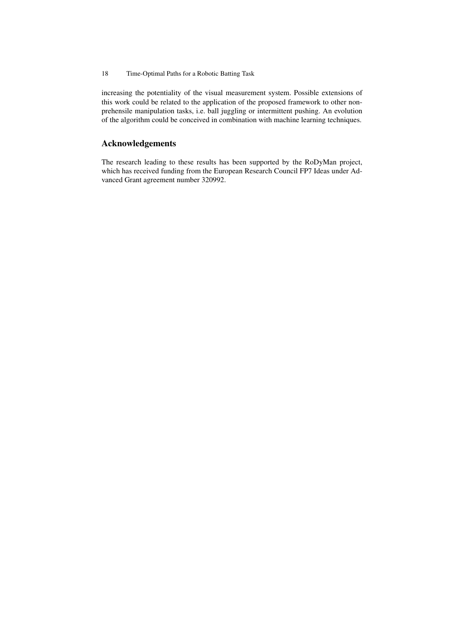increasing the potentiality of the visual measurement system. Possible extensions of this work could be related to the application of the proposed framework to other nonprehensile manipulation tasks, i.e. ball juggling or intermittent pushing. An evolution of the algorithm could be conceived in combination with machine learning techniques.

## Acknowledgements

The research leading to these results has been supported by the RoDyMan project, which has received funding from the European Research Council FP7 Ideas under Advanced Grant agreement number 320992.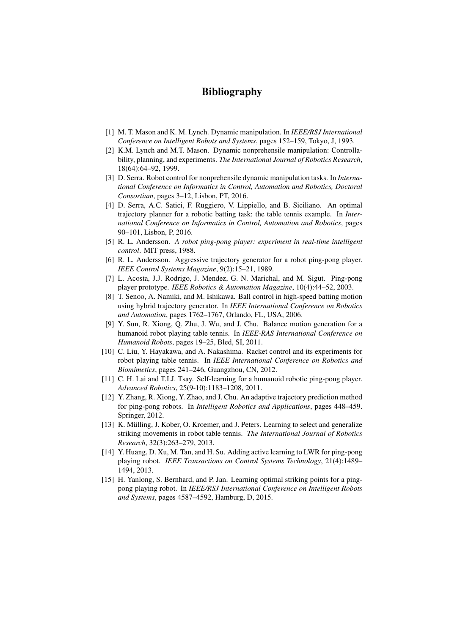# Bibliography

- [1] M. T. Mason and K. M. Lynch. Dynamic manipulation. In *IEEE/RSJ International Conference on Intelligent Robots and Systems*, pages 152–159, Tokyo, J, 1993.
- [2] K.M. Lynch and M.T. Mason. Dynamic nonprehensile manipulation: Controllability, planning, and experiments. *The International Journal of Robotics Research*, 18(64):64–92, 1999.
- [3] D. Serra. Robot control for nonprehensile dynamic manipulation tasks. In *International Conference on Informatics in Control, Automation and Robotics, Doctoral Consortium*, pages 3–12, Lisbon, PT, 2016.
- [4] D. Serra, A.C. Satici, F. Ruggiero, V. Lippiello, and B. Siciliano. An optimal trajectory planner for a robotic batting task: the table tennis example. In *International Conference on Informatics in Control, Automation and Robotics*, pages 90–101, Lisbon, P, 2016.
- [5] R. L. Andersson. *A robot ping-pong player: experiment in real-time intelligent control*. MIT press, 1988.
- [6] R. L. Andersson. Aggressive trajectory generator for a robot ping-pong player. *IEEE Control Systems Magazine*, 9(2):15–21, 1989.
- [7] L. Acosta, J.J. Rodrigo, J. Mendez, G. N. Marichal, and M. Sigut. Ping-pong player prototype. *IEEE Robotics & Automation Magazine*, 10(4):44–52, 2003.
- [8] T. Senoo, A. Namiki, and M. Ishikawa. Ball control in high-speed batting motion using hybrid trajectory generator. In *IEEE International Conference on Robotics and Automation*, pages 1762–1767, Orlando, FL, USA, 2006.
- [9] Y. Sun, R. Xiong, Q. Zhu, J. Wu, and J. Chu. Balance motion generation for a humanoid robot playing table tennis. In *IEEE-RAS International Conference on Humanoid Robots*, pages 19–25, Bled, SI, 2011.
- [10] C. Liu, Y. Hayakawa, and A. Nakashima. Racket control and its experiments for robot playing table tennis. In *IEEE International Conference on Robotics and Biomimetics*, pages 241–246, Guangzhou, CN, 2012.
- [11] C. H. Lai and T.I.J. Tsay. Self-learning for a humanoid robotic ping-pong player. *Advanced Robotics*, 25(9-10):1183–1208, 2011.
- [12] Y. Zhang, R. Xiong, Y. Zhao, and J. Chu. An adaptive trajectory prediction method for ping-pong robots. In *Intelligent Robotics and Applications*, pages 448–459. Springer, 2012.
- [13] K. Mülling, J. Kober, O. Kroemer, and J. Peters. Learning to select and generalize striking movements in robot table tennis. *The International Journal of Robotics Research*, 32(3):263–279, 2013.
- [14] Y. Huang, D. Xu, M. Tan, and H. Su. Adding active learning to LWR for ping-pong playing robot. *IEEE Transactions on Control Systems Technology*, 21(4):1489– 1494, 2013.
- [15] H. Yanlong, S. Bernhard, and P. Jan. Learning optimal striking points for a pingpong playing robot. In *IEEE/RSJ International Conference on Intelligent Robots and Systems*, pages 4587–4592, Hamburg, D, 2015.